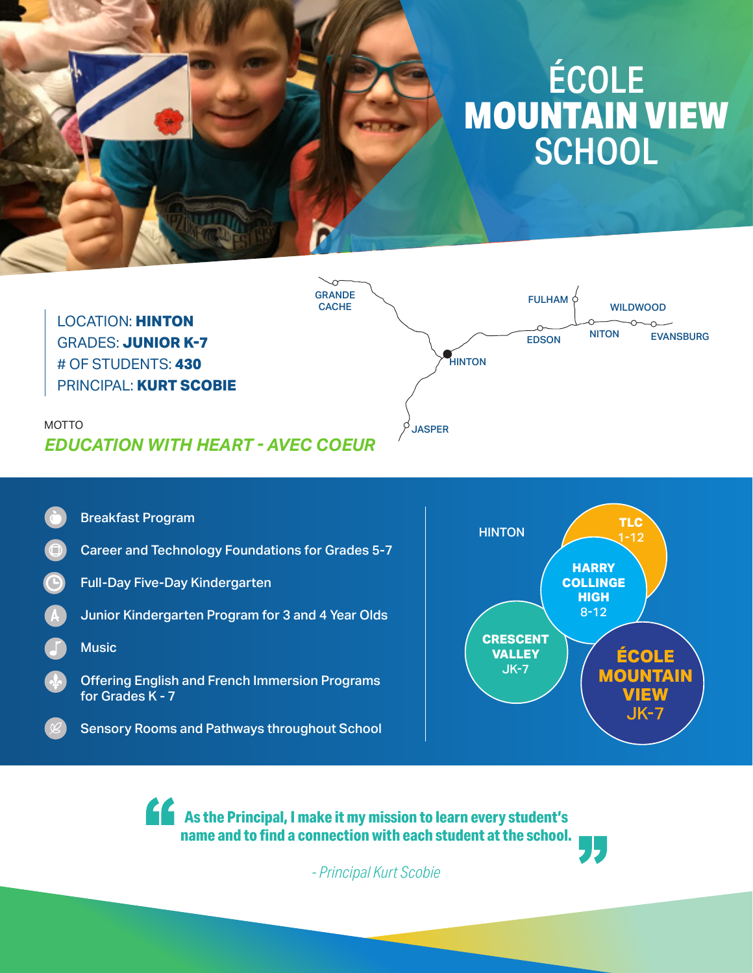# ÉCOLE MOUNTAIN VIEW **SCHOOL**



Breakfast Program

- Career and Technology Foundations for Grades 5-7
- Full-Day Five-Day Kindergarten
- Junior Kindergarten Program for 3 and 4 Year Olds
- **Music**
- Offering English and French Immersion Programs for Grades K - 7
	- Sensory Rooms and Pathways throughout School



**As the Principal, I make it my mission to learn every student's name and to find a connection with each student at the school.**

*- Principal Kurt Scobie*